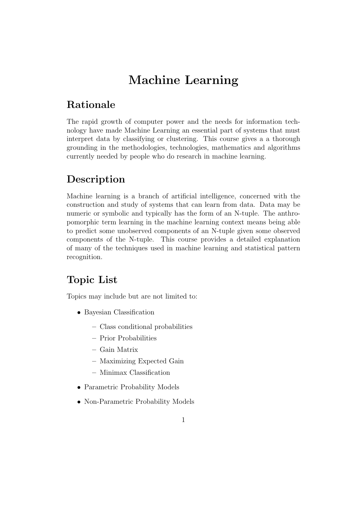# Machine Learning

#### Rationale

The rapid growth of computer power and the needs for information technology have made Machine Learning an essential part of systems that must interpret data by classifying or clustering. This course gives a a thorough grounding in the methodologies, technologies, mathematics and algorithms currently needed by people who do research in machine learning.

## Description

Machine learning is a branch of artificial intelligence, concerned with the construction and study of systems that can learn from data. Data may be numeric or symbolic and typically has the form of an N-tuple. The anthropomorphic term learning in the machine learning context means being able to predict some unobserved components of an N-tuple given some observed components of the N-tuple. This course provides a detailed explanation of many of the techniques used in machine learning and statistical pattern recognition.

### Topic List

Topics may include but are not limited to:

- Bayesian Classification
	- Class conditional probabilities
	- Prior Probabilities
	- Gain Matrix
	- Maximizing Expected Gain
	- Minimax Classification
- Parametric Probability Models
- Non-Parametric Probability Models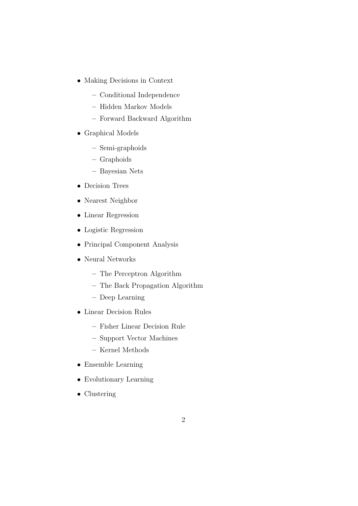- Making Decisions in Context
	- Conditional Independence
	- Hidden Markov Models
	- Forward Backward Algorithm
- Graphical Models
	- Semi-graphoids
	- Graphoids
	- Bayesian Nets
- Decision Trees
- Nearest Neighbor
- Linear Regression
- Logistic Regression
- Principal Component Analysis
- Neural Networks
	- The Perceptron Algorithm
	- The Back Propagation Algorithm
	- Deep Learning
- Linear Decision Rules
	- Fisher Linear Decision Rule
	- Support Vector Machines
	- Kernel Methods
- Ensemble Learning
- Evolutionary Learning
- Clustering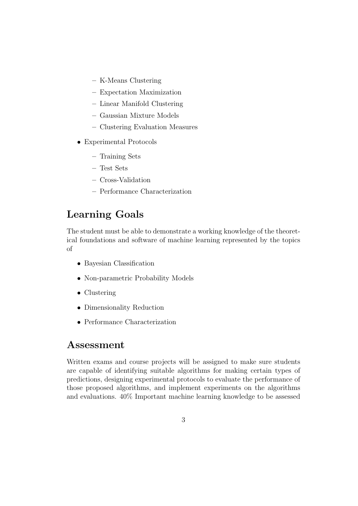- K-Means Clustering
- Expectation Maximization
- Linear Manifold Clustering
- Gaussian Mixture Models
- Clustering Evaluation Measures
- Experimental Protocols
	- Training Sets
	- Test Sets
	- Cross-Validation
	- Performance Characterization

#### Learning Goals

The student must be able to demonstrate a working knowledge of the theoretical foundations and software of machine learning represented by the topics of

- Bayesian Classification
- Non-parametric Probability Models
- Clustering
- Dimensionality Reduction
- Performance Characterization

#### Assessment

Written exams and course projects will be assigned to make sure students are capable of identifying suitable algorithms for making certain types of predictions, designing experimental protocols to evaluate the performance of those proposed algorithms, and implement experiments on the algorithms and evaluations. 40% Important machine learning knowledge to be assessed